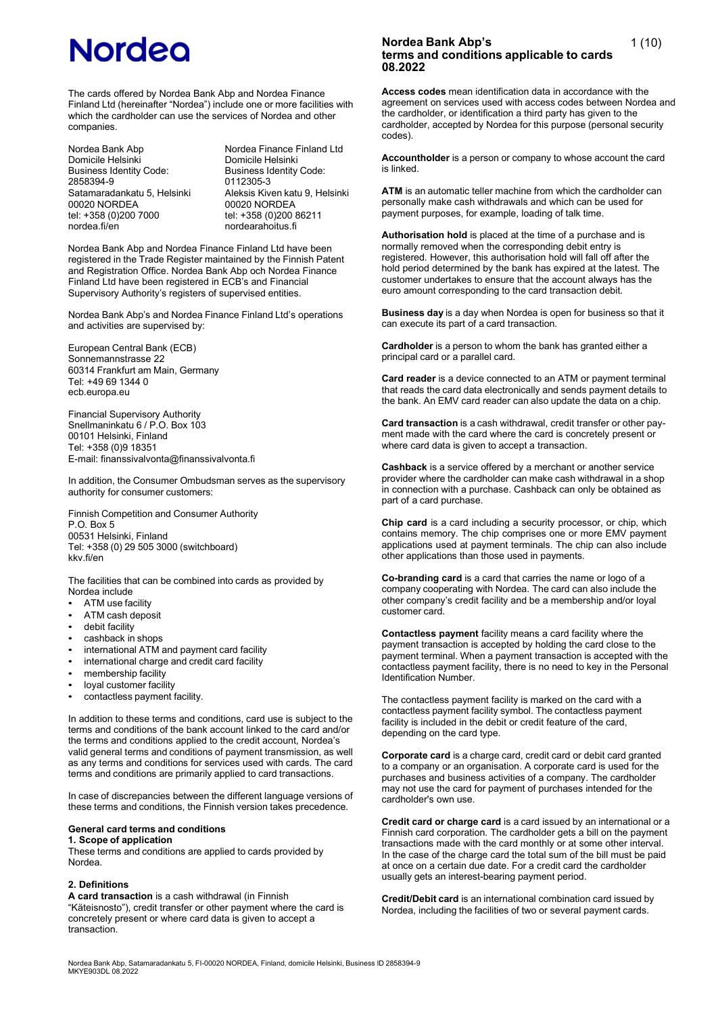The cards offered by Nordea Bank Abp and Nordea Finance Finland Ltd (hereinafter "Nordea") include one or more facilities with which the cardholder can use the services of Nordea and other companies.

Domicile Helsinki<br>Business Identity Code: Business Identity Code: Business Identity Code:<br>2858394-9 0112305-3 2858394-9 0112305-3 00020 NORDEA 00020 NORDEA<br>tel: +358 (0)200 7000 tel: +358 (0)200 tel: +358 (0)200 7000 tel: +358 (0)200 86211<br>nordea.fi/en tel: +058 (0)200 86211

Nordea Bank Abp Nordea Finance Finland Ltd<br>
Domicile Helsinki<br>
Domicile Helsinki Satamaradankatu 5, Helsinki Aleksis Kiven katu 9, Helsinki<br>00020 NORDEA 00020 NORDEA nordearahoitus.fi

Nordea Bank Abp and Nordea Finance Finland Ltd have been registered in the Trade Register maintained by the Finnish Patent and Registration Office. Nordea Bank Abp och Nordea Finance Finland Ltd have been registered in ECB's and Financial Supervisory Authority's registers of supervised entities.

Nordea Bank Abp's and Nordea Finance Finland Ltd's operations and activities are supervised by:

European Central Bank (ECB) Sonnemannstrasse 22 60314 Frankfurt am Main, Germany Tel: +49 69 1344 0 ecb.europa.eu

Financial Supervisory Authority Snellmaninkatu 6 / P.O. Box 103 00101 Helsinki, Finland Tel: +358 (0)9 18351 E-mail: finanssivalvonta@finanssivalvonta.fi

In addition, the Consumer Ombudsman serves as the supervisory authority for consumer customers:

Finnish Competition and Consumer Authority P.O. Box 5 00531 Helsinki, Finland Tel: +358 (0) 29 505 3000 (switchboard) kkv.fi/en

The facilities that can be combined into cards as provided by Nordea include

- ATM use facility
- ATM cash deposit
- debit facility
- cashback in shops
- international ATM and payment card facility
- international charge and credit card facility
- membership facility
- loyal customer facility
- contactless payment facility.

In addition to these terms and conditions, card use is subject to the terms and conditions of the bank account linked to the card and/or the terms and conditions applied to the credit account, Nordea's valid general terms and conditions of payment transmission, as well as any terms and conditions for services used with cards. The card terms and conditions are primarily applied to card transactions.

In case of discrepancies between the different language versions of these terms and conditions, the Finnish version takes precedence.

# **General card terms and conditions**

**1. Scope of application**

These terms and conditions are applied to cards provided by Nordea.

### **2. Definitions**

**A card transaction** is a cash withdrawal (in Finnish "Käteisnosto"), credit transfer or other payment where the card is concretely present or where card data is given to accept a transaction.

# **Nordea Bank Abp's terms and conditions applicable to cards 08.2022**

**Access codes** mean identification data in accordance with the agreement on services used with access codes between Nordea and the cardholder, or identification a third party has given to the cardholder, accepted by Nordea for this purpose (personal security codes).

**Accountholder** is a person or company to whose account the card is linked.

**ATM** is an automatic teller machine from which the cardholder can personally make cash withdrawals and which can be used for payment purposes, for example, loading of talk time.

**Authorisation hold** is placed at the time of a purchase and is normally removed when the corresponding debit entry is registered. However, this authorisation hold will fall off after the hold period determined by the bank has expired at the latest. The customer undertakes to ensure that the account always has the euro amount corresponding to the card transaction debit.

**Business day** is a day when Nordea is open for business so that it can execute its part of a card transaction.

**Cardholder** is a person to whom the bank has granted either a principal card or a parallel card.

**Card reader** is a device connected to an ATM or payment terminal that reads the card data electronically and sends payment details to the bank. An EMV card reader can also update the data on a chip.

**Card transaction** is a cash withdrawal, credit transfer or other payment made with the card where the card is concretely present or where card data is given to accept a transaction.

**Cashback** is a service offered by a merchant or another service provider where the cardholder can make cash withdrawal in a shop in connection with a purchase. Cashback can only be obtained as part of a card purchase.

**Chip card** is a card including a security processor, or chip, which contains memory. The chip comprises one or more EMV payment applications used at payment terminals. The chip can also include other applications than those used in payments.

**Co-branding card** is a card that carries the name or logo of a company cooperating with Nordea. The card can also include the other company's credit facility and be a membership and/or loyal customer card.

**Contactless payment** facility means a card facility where the payment transaction is accepted by holding the card close to the payment terminal. When a payment transaction is accepted with the contactless payment facility, there is no need to key in the Personal Identification Number.

The contactless payment facility is marked on the card with a contactless payment facility symbol. The contactless payment facility is included in the debit or credit feature of the card, depending on the card type.

**Corporate card** is a charge card, credit card or debit card granted to a company or an organisation. A corporate card is used for the purchases and business activities of a company. The cardholder may not use the card for payment of purchases intended for the cardholder's own use.

**Credit card or charge card** is a card issued by an international or a Finnish card corporation. The cardholder gets a bill on the payment transactions made with the card monthly or at some other interval. In the case of the charge card the total sum of the bill must be paid at once on a certain due date. For a credit card the cardholder usually gets an interest-bearing payment period.

**Credit/Debit card** is an international combination card issued by Nordea, including the facilities of two or several payment cards.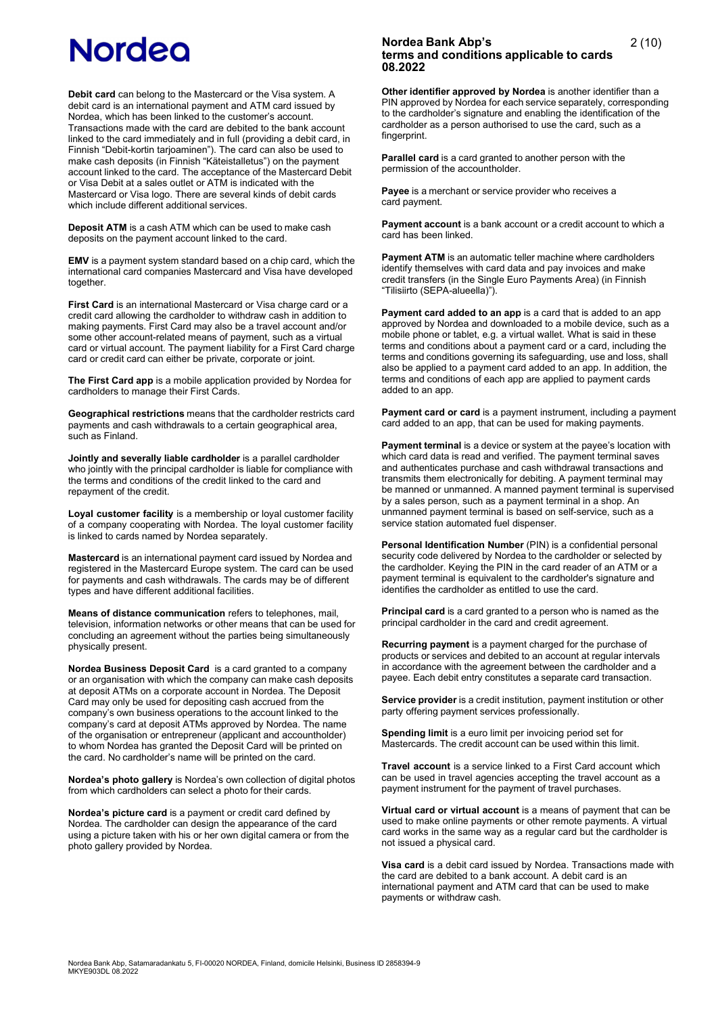**Debit card** can belong to the Mastercard or the Visa system. A debit card is an international payment and ATM card issued by Nordea, which has been linked to the customer's account. Transactions made with the card are debited to the bank account linked to the card immediately and in full (providing a debit card, in Finnish "Debit-kortin tarjoaminen"). The card can also be used to make cash deposits (in Finnish "Käteistalletus") on the payment account linked to the card. The acceptance of the Mastercard Debit or Visa Debit at a sales outlet or ATM is indicated with the Mastercard or Visa logo. There are several kinds of debit cards which include different additional services.

**Deposit ATM** is a cash ATM which can be used to make cash deposits on the payment account linked to the card.

**EMV** is a payment system standard based on a chip card, which the international card companies Mastercard and Visa have developed **together.** 

**First Card** is an international Mastercard or Visa charge card or a credit card allowing the cardholder to withdraw cash in addition to making payments. First Card may also be a travel account and/or some other account-related means of payment, such as a virtual card or virtual account. The payment liability for a First Card charge card or credit card can either be private, corporate or joint.

**The First Card app** is a mobile application provided by Nordea for cardholders to manage their First Cards.

**Geographical restrictions** means that the cardholder restricts card payments and cash withdrawals to a certain geographical area, such as Finland.

**Jointly and severally liable cardholder** is a parallel cardholder who jointly with the principal cardholder is liable for compliance with the terms and conditions of the credit linked to the card and repayment of the credit.

**Loyal customer facility** is a membership or loyal customer facility of a company cooperating with Nordea. The loyal customer facility is linked to cards named by Nordea separately.

**Mastercard** is an international payment card issued by Nordea and registered in the Mastercard Europe system. The card can be used for payments and cash withdrawals. The cards may be of different types and have different additional facilities.

**Means of distance communication** refers to telephones, mail, television, information networks or other means that can be used for concluding an agreement without the parties being simultaneously physically present.

**Nordea Business Deposit Card** is a card granted to a company or an organisation with which the company can make cash deposits at deposit ATMs on a corporate account in Nordea. The Deposit Card may only be used for depositing cash accrued from the company's own business operations to the account linked to the company's card at deposit ATMs approved by Nordea. The name of the organisation or entrepreneur (applicant and accountholder) to whom Nordea has granted the Deposit Card will be printed on the card. No cardholder's name will be printed on the card.

**Nordea's photo gallery** is Nordea's own collection of digital photos from which cardholders can select a photo for their cards.

**Nordea's picture card** is a payment or credit card defined by Nordea. The cardholder can design the appearance of the card using a picture taken with his or her own digital camera or from the photo gallery provided by Nordea.

## **Nordea Bank Abp's terms and conditions applicable to cards 08.2022**

**Other identifier approved by Nordea** is another identifier than a PIN approved by Nordea for each service separately, corresponding to the cardholder's signature and enabling the identification of the cardholder as a person authorised to use the card, such as a fingerprint.

**Parallel card** is a card granted to another person with the permission of the accountholder.

**Payee** is a merchant or service provider who receives a card payment.

**Payment account** is a bank account or a credit account to which a card has been linked.

**Payment ATM** is an automatic teller machine where cardholders identify themselves with card data and pay invoices and make credit transfers (in the Single Euro Payments Area) (in Finnish "Tilisiirto (SEPA-alueella)").

**Payment card added to an app** is a card that is added to an app approved by Nordea and downloaded to a mobile device, such as a mobile phone or tablet, e.g. a virtual wallet. What is said in these terms and conditions about a payment card or a card, including the terms and conditions governing its safeguarding, use and loss, shall also be applied to a payment card added to an app. In addition, the terms and conditions of each app are applied to payment cards added to an app.

**Payment card or card** is a payment instrument, including a payment card added to an app, that can be used for making payments.

**Payment terminal** is a device or system at the payee's location with which card data is read and verified. The payment terminal saves and authenticates purchase and cash withdrawal transactions and transmits them electronically for debiting. A payment terminal may be manned or unmanned. A manned payment terminal is supervised by a sales person, such as a payment terminal in a shop. An unmanned payment terminal is based on self-service, such as a service station automated fuel dispenser.

**Personal Identification Number** (PIN) is a confidential personal security code delivered by Nordea to the cardholder or selected by the cardholder. Keying the PIN in the card reader of an ATM or a payment terminal is equivalent to the cardholder's signature and identifies the cardholder as entitled to use the card.

**Principal card** is a card granted to a person who is named as the principal cardholder in the card and credit agreement.

**Recurring payment** is a payment charged for the purchase of products or services and debited to an account at regular intervals in accordance with the agreement between the cardholder and a payee. Each debit entry constitutes a separate card transaction.

**Service provider** is a credit institution, payment institution or other party offering payment services professionally.

**Spending limit** is a euro limit per invoicing period set for Mastercards. The credit account can be used within this limit.

**Travel account** is a service linked to a First Card account which can be used in travel agencies accepting the travel account as a payment instrument for the payment of travel purchases.

**Virtual card or virtual account** is a means of payment that can be used to make online payments or other remote payments. A virtual card works in the same way as a regular card but the cardholder is not issued a physical card.

**Visa card** is a debit card issued by Nordea. Transactions made with the card are debited to a bank account. A debit card is an international payment and ATM card that can be used to make payments or withdraw cash.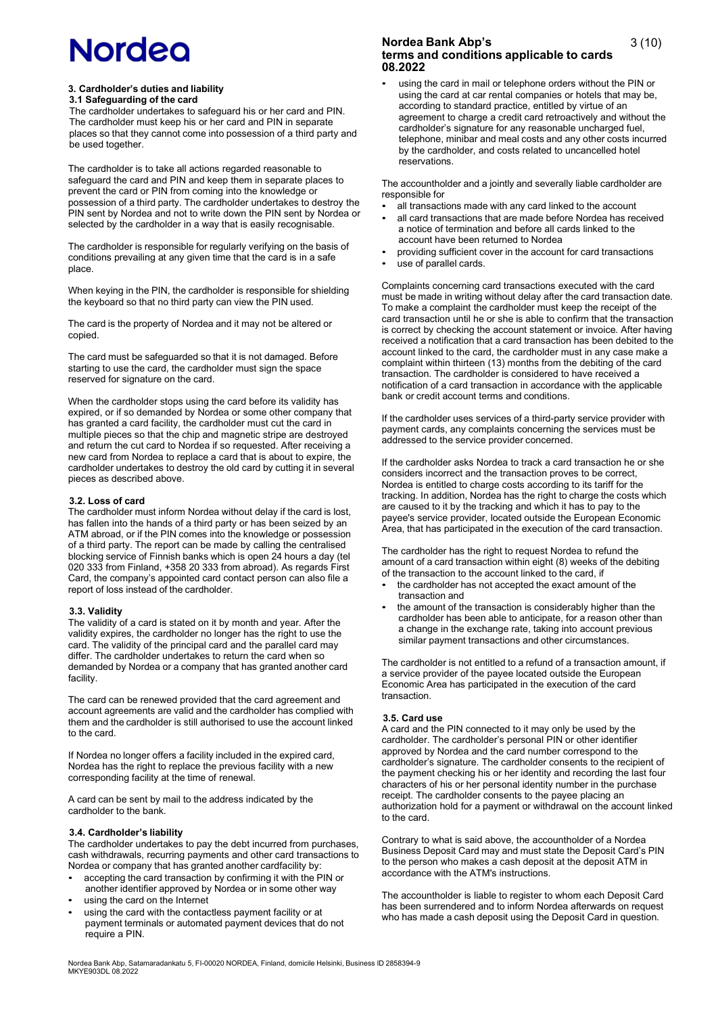#### **3. Cardholder's duties and liability 3.1 Safeguarding of the card**

The cardholder undertakes to safeguard his or her card and PIN. The cardholder must keep his or her card and PIN in separate places so that they cannot come into possession of a third party and be used together.

The cardholder is to take all actions regarded reasonable to safeguard the card and PIN and keep them in separate places to prevent the card or PIN from coming into the knowledge or possession of a third party. The cardholder undertakes to destroy the PIN sent by Nordea and not to write down the PIN sent by Nordea or selected by the cardholder in a way that is easily recognisable.

The cardholder is responsible for regularly verifying on the basis of conditions prevailing at any given time that the card is in a safe place.

When keying in the PIN, the cardholder is responsible for shielding the keyboard so that no third party can view the PIN used.

The card is the property of Nordea and it may not be altered or copied.

The card must be safeguarded so that it is not damaged. Before starting to use the card, the cardholder must sign the space reserved for signature on the card.

When the cardholder stops using the card before its validity has expired, or if so demanded by Nordea or some other company that has granted a card facility, the cardholder must cut the card in multiple pieces so that the chip and magnetic stripe are destroyed and return the cut card to Nordea if so requested. After receiving a new card from Nordea to replace a card that is about to expire, the cardholder undertakes to destroy the old card by cutting it in several pieces as described above.

#### **3.2. Loss of card**

The cardholder must inform Nordea without delay if the card is lost, has fallen into the hands of a third party or has been seized by an ATM abroad, or if the PIN comes into the knowledge or possession of a third party. The report can be made by calling the centralised blocking service of Finnish banks which is open 24 hours a day (tel 020 333 from Finland, +358 20 333 from abroad). As regards First Card, the company's appointed card contact person can also file a report of loss instead of the cardholder.

#### **3.3. Validity**

The validity of a card is stated on it by month and year. After the validity expires, the cardholder no longer has the right to use the card. The validity of the principal card and the parallel card may differ. The cardholder undertakes to return the card when so demanded by Nordea or a company that has granted another card facility.

The card can be renewed provided that the card agreement and account agreements are valid and the cardholder has complied with them and the cardholder is still authorised to use the account linked to the card.

If Nordea no longer offers a facility included in the expired card, Nordea has the right to replace the previous facility with a new corresponding facility at the time of renewal.

A card can be sent by mail to the address indicated by the cardholder to the bank.

### **3.4. Cardholder's liability**

The cardholder undertakes to pay the debt incurred from purchases, cash withdrawals, recurring payments and other card transactions to Nordea or company that has granted another cardfacility by:

- accepting the card transaction by confirming it with the PIN or another identifier approved by Nordea or in some other way
- using the card on the Internet
- using the card with the contactless payment facility or at payment terminals or automated payment devices that do not require a PIN.

## **Nordea Bank Abp's terms and conditions applicable to cards 08.2022**

using the card in mail or telephone orders without the PIN or using the card at car rental companies or hotels that may be, according to standard practice, entitled by virtue of an agreement to charge a credit card retroactively and without the cardholder's signature for any reasonable uncharged fuel, telephone, minibar and meal costs and any other costs incurred by the cardholder, and costs related to uncancelled hotel reservations.

The accountholder and a jointly and severally liable cardholder are responsible for

- all transactions made with any card linked to the account
- all card transactions that are made before Nordea has received a notice of termination and before all cards linked to the account have been returned to Nordea
- providing sufficient cover in the account for card transactions
- use of parallel cards.

Complaints concerning card transactions executed with the card must be made in writing without delay after the card transaction date. To make a complaint the cardholder must keep the receipt of the card transaction until he or she is able to confirm that the transaction is correct by checking the account statement or invoice. After having received a notification that a card transaction has been debited to the account linked to the card, the cardholder must in any case make a complaint within thirteen (13) months from the debiting of the card transaction. The cardholder is considered to have received a notification of a card transaction in accordance with the applicable bank or credit account terms and conditions.

If the cardholder uses services of a third-party service provider with payment cards, any complaints concerning the services must be addressed to the service provider concerned.

If the cardholder asks Nordea to track a card transaction he or she considers incorrect and the transaction proves to be correct, Nordea is entitled to charge costs according to its tariff for the tracking. In addition, Nordea has the right to charge the costs which are caused to it by the tracking and which it has to pay to the payee's service provider, located outside the European Economic Area, that has participated in the execution of the card transaction.

The cardholder has the right to request Nordea to refund the amount of a card transaction within eight (8) weeks of the debiting of the transaction to the account linked to the card, if

- the cardholder has not accepted the exact amount of the transaction and
- the amount of the transaction is considerably higher than the cardholder has been able to anticipate, for a reason other than a change in the exchange rate, taking into account previous similar payment transactions and other circumstances.

The cardholder is not entitled to a refund of a transaction amount, if a service provider of the payee located outside the European Economic Area has participated in the execution of the card transaction.

#### **3.5. Card use**

A card and the PIN connected to it may only be used by the cardholder. The cardholder's personal PIN or other identifier approved by Nordea and the card number correspond to the cardholder's signature. The cardholder consents to the recipient of the payment checking his or her identity and recording the last four characters of his or her personal identity number in the purchase receipt. The cardholder consents to the payee placing an authorization hold for a payment or withdrawal on the account linked to the card.

Contrary to what is said above, the accountholder of a Nordea Business Deposit Card may and must state the Deposit Card's PIN to the person who makes a cash deposit at the deposit ATM in accordance with the ATM's instructions.

The accountholder is liable to register to whom each Deposit Card has been surrendered and to inform Nordea afterwards on request who has made a cash deposit using the Deposit Card in question.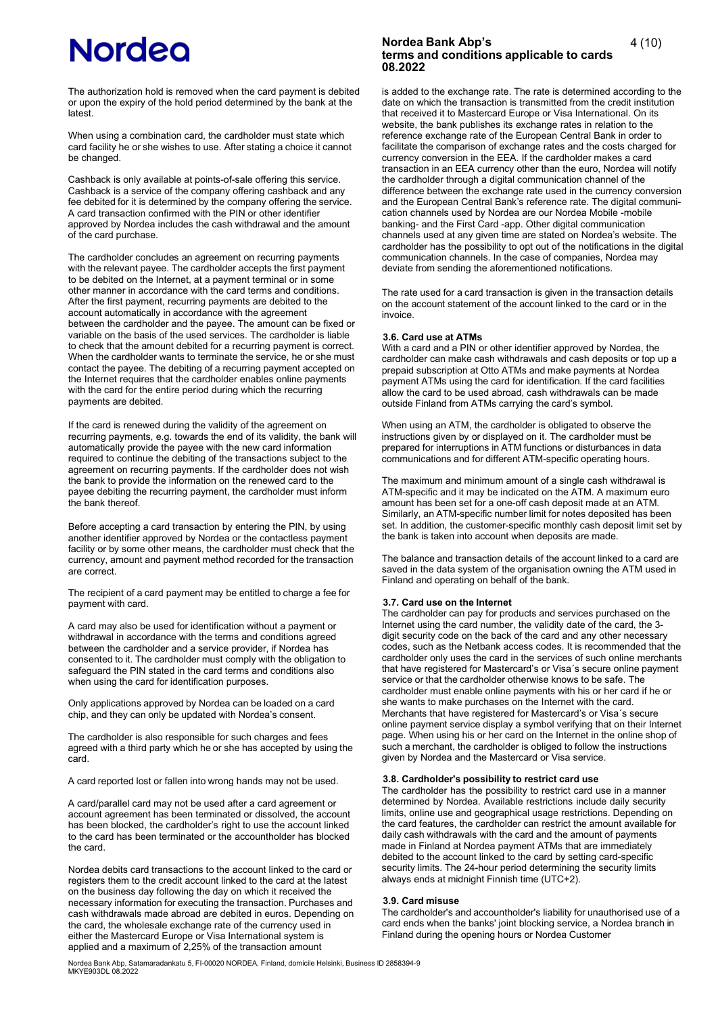# **Nordea**

The authorization hold is removed when the card payment is debited or upon the expiry of the hold period determined by the bank at the latest.

When using a combination card, the cardholder must state which card facility he or she wishes to use. After stating a choice it cannot be changed.

Cashback is only available at points-of-sale offering this service. Cashback is a service of the company offering cashback and any fee debited for it is determined by the company offering the service. A card transaction confirmed with the PIN or other identifier approved by Nordea includes the cash withdrawal and the amount of the card purchase.

The cardholder concludes an agreement on recurring payments with the relevant payee. The cardholder accepts the first payment to be debited on the Internet, at a payment terminal or in some other manner in accordance with the card terms and conditions. After the first payment, recurring payments are debited to the account automatically in accordance with the agreement between the cardholder and the payee. The amount can be fixed or variable on the basis of the used services. The cardholder is liable to check that the amount debited for a recurring payment is correct. When the cardholder wants to terminate the service, he or she must contact the payee. The debiting of a recurring payment accepted on the Internet requires that the cardholder enables online payments with the card for the entire period during which the recurring payments are debited.

If the card is renewed during the validity of the agreement on recurring payments, e.g. towards the end of its validity, the bank will automatically provide the payee with the new card information required to continue the debiting of the transactions subject to the agreement on recurring payments. If the cardholder does not wish the bank to provide the information on the renewed card to the payee debiting the recurring payment, the cardholder must inform the bank thereof.

Before accepting a card transaction by entering the PIN, by using another identifier approved by Nordea or the contactless payment facility or by some other means, the cardholder must check that the currency, amount and payment method recorded for the transaction are correct.

The recipient of a card payment may be entitled to charge a fee for payment with card.

A card may also be used for identification without a payment or withdrawal in accordance with the terms and conditions agreed between the cardholder and a service provider, if Nordea has consented to it. The cardholder must comply with the obligation to safeguard the PIN stated in the card terms and conditions also when using the card for identification purposes.

Only applications approved by Nordea can be loaded on a card chip, and they can only be updated with Nordea's consent.

The cardholder is also responsible for such charges and fees agreed with a third party which he or she has accepted by using the card.

A card reported lost or fallen into wrong hands may not be used.

A card/parallel card may not be used after a card agreement or account agreement has been terminated or dissolved, the account has been blocked, the cardholder's right to use the account linked to the card has been terminated or the accountholder has blocked the card.

Nordea debits card transactions to the account linked to the card or registers them to the credit account linked to the card at the latest on the business day following the day on which it received the necessary information for executing the transaction. Purchases and cash withdrawals made abroad are debited in euros. Depending on the card, the wholesale exchange rate of the currency used in either the Mastercard Europe or Visa International system is applied and a maximum of 2,25% of the transaction amount

# **Nordea Bank Abp's terms and conditions applicable to cards 08.2022**

is added to the exchange rate. The rate is determined according to the date on which the transaction is transmitted from the credit institution that received it to Mastercard Europe or Visa International. On its website, the bank publishes its exchange rates in relation to the reference exchange rate of the European Central Bank in order to facilitate the comparison of exchange rates and the costs charged for currency conversion in the EEA. If the cardholder makes a card transaction in an EEA currency other than the euro, Nordea will notify the cardholder through a digital communication channel of the difference between the exchange rate used in the currency conversion and the European Central Bank's reference rate. The digital communication channels used by Nordea are our Nordea Mobile -mobile banking- and the First Card -app. Other digital communication channels used at any given time are stated on Nordea's website. The cardholder has the possibility to opt out of the notifications in the digital communication channels. In the case of companies, Nordea may deviate from sending the aforementioned notifications.

The rate used for a card transaction is given in the transaction details on the account statement of the account linked to the card or in the invoice.

#### **3.6. Card use at ATMs**

With a card and a PIN or other identifier approved by Nordea, the cardholder can make cash withdrawals and cash deposits or top up a prepaid subscription at Otto ATMs and make payments at Nordea payment ATMs using the card for identification. If the card facilities allow the card to be used abroad, cash withdrawals can be made outside Finland from ATMs carrying the card's symbol.

When using an ATM, the cardholder is obligated to observe the instructions given by or displayed on it. The cardholder must be prepared for interruptions in ATM functions or disturbances in data communications and for different ATM-specific operating hours.

The maximum and minimum amount of a single cash withdrawal is ATM-specific and it may be indicated on the ATM. A maximum euro amount has been set for a one-off cash deposit made at an ATM. Similarly, an ATM-specific number limit for notes deposited has been set. In addition, the customer-specific monthly cash deposit limit set by the bank is taken into account when deposits are made.

The balance and transaction details of the account linked to a card are saved in the data system of the organisation owning the ATM used in Finland and operating on behalf of the bank.

#### **3.7. Card use on the Internet**

The cardholder can pay for products and services purchased on the Internet using the card number, the validity date of the card, the 3 digit security code on the back of the card and any other necessary codes, such as the Netbank access codes. It is recommended that the cardholder only uses the card in the services of such online merchants that have registered for Mastercard's or Visa´s secure online payment service or that the cardholder otherwise knows to be safe. The cardholder must enable online payments with his or her card if he or she wants to make purchases on the Internet with the card. Merchants that have registered for Mastercard's or Visa´s secure online payment service display a symbol verifying that on their Internet page. When using his or her card on the Internet in the online shop of such a merchant, the cardholder is obliged to follow the instructions given by Nordea and the Mastercard or Visa service.

# **3.8. Cardholder's possibility to restrict card use**

The cardholder has the possibility to restrict card use in a manner determined by Nordea. Available restrictions include daily security limits, online use and geographical usage restrictions. Depending on the card features, the cardholder can restrict the amount available for daily cash withdrawals with the card and the amount of payments made in Finland at Nordea payment ATMs that are immediately debited to the account linked to the card by setting card-specific security limits. The 24-hour period determining the security limits always ends at midnight Finnish time (UTC+2).

#### **3.9. Card misuse**

The cardholder's and accountholder's liability for unauthorised use of a card ends when the banks' joint blocking service, a Nordea branch in Finland during the opening hours or Nordea Customer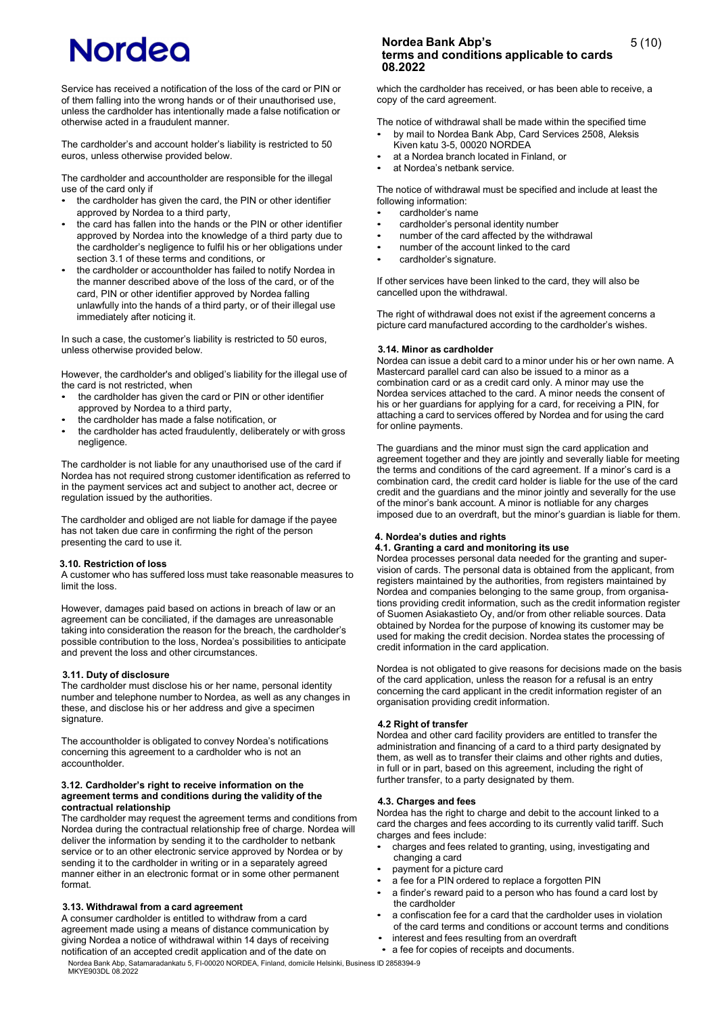Service has received a notification of the loss of the card or PIN or of them falling into the wrong hands or of their unauthorised use, unless the cardholder has intentionally made a false notification or otherwise acted in a fraudulent manner.

The cardholder's and account holder's liability is restricted to 50 euros, unless otherwise provided below.

The cardholder and accountholder are responsible for the illegal use of the card only if

- the cardholder has given the card, the PIN or other identifier approved by Nordea to a third party,
- the card has fallen into the hands or the PIN or other identifier approved by Nordea into the knowledge of a third party due to the cardholder's negligence to fulfil his or her obligations under section 3.1 of these terms and conditions, or
- the cardholder or accountholder has failed to notify Nordea in the manner described above of the loss of the card, or of the card, PIN or other identifier approved by Nordea falling unlawfully into the hands of a third party, or of their illegal use immediately after noticing it.

In such a case, the customer's liability is restricted to 50 euros, unless otherwise provided below.

However, the cardholder's and obliged's liability for the illegal use of the card is not restricted, when

- the cardholder has given the card or PIN or other identifier approved by Nordea to a third party,
- the cardholder has made a false notification, or
- the cardholder has acted fraudulently, deliberately or with gross negligence.

The cardholder is not liable for any unauthorised use of the card if Nordea has not required strong customer identification as referred to in the payment services act and subject to another act, decree or regulation issued by the authorities.

The cardholder and obliged are not liable for damage if the payee has not taken due care in confirming the right of the person presenting the card to use it.

#### **3.10. Restriction of loss**

A customer who has suffered loss must take reasonable measures to limit the loss.

However, damages paid based on actions in breach of law or an agreement can be conciliated, if the damages are unreasonable taking into consideration the reason for the breach, the cardholder's possible contribution to the loss, Nordea's possibilities to anticipate and prevent the loss and other circumstances.

# **3.11. Duty of disclosure**

The cardholder must disclose his or her name, personal identity number and telephone number to Nordea, as well as any changes in these, and disclose his or her address and give a specimen signature.

The accountholder is obligated to convey Nordea's notifications concerning this agreement to a cardholder who is not an accountholder.

#### **3.12. Cardholder's right to receive information on the agreement terms and conditions during the validity of the contractual relationship**

The cardholder may request the agreement terms and conditions from Nordea during the contractual relationship free of charge. Nordea will deliver the information by sending it to the cardholder to netbank service or to an other electronic service approved by Nordea or by sending it to the cardholder in writing or in a separately agreed manner either in an electronic format or in some other permanent format.

#### **3.13. Withdrawal from a card agreement**

A consumer cardholder is entitled to withdraw from a card agreement made using a means of distance communication by giving Nordea a notice of withdrawal within 14 days of receiving notification of an accepted credit application and of the date on

# **Nordea Bank Abp's terms and conditions applicable to cards 08.2022**

which the cardholder has received, or has been able to receive, a copy of the card agreement.

5 (10)

The notice of withdrawal shall be made within the specified time

- by mail to Nordea Bank Abp, Card Services 2508, Aleksis Kiven katu 3-5, 00020 NORDEA
- at a Nordea branch located in Finland, or
- at Nordea's netbank service.

The notice of withdrawal must be specified and include at least the following information:

- cardholder's name
- cardholder's personal identity number
- number of the card affected by the withdrawal
- number of the account linked to the card
- cardholder's signature.

If other services have been linked to the card, they will also be cancelled upon the withdrawal.

The right of withdrawal does not exist if the agreement concerns a picture card manufactured according to the cardholder's wishes.

### **3.14. Minor as cardholder**

Nordea can issue a debit card to a minor under his or her own name. A Mastercard parallel card can also be issued to a minor as a combination card or as a credit card only. A minor may use the Nordea services attached to the card. A minor needs the consent of his or her guardians for applying for a card, for receiving a PIN, for attaching a card to services offered by Nordea and for using the card for online payments.

The guardians and the minor must sign the card application and agreement together and they are jointly and severally liable for meeting the terms and conditions of the card agreement. If a minor's card is a combination card, the credit card holder is liable for the use of the card credit and the guardians and the minor jointly and severally for the use of the minor's bank account. A minor is notliable for any charges imposed due to an overdraft, but the minor's guardian is liable for them.

#### **4. Nordea's duties and rights**

#### **4.1. Granting a card and monitoring its use**

Nordea processes personal data needed for the granting and supervision of cards. The personal data is obtained from the applicant, from registers maintained by the authorities, from registers maintained by Nordea and companies belonging to the same group, from organisations providing credit information, such as the credit information register of Suomen Asiakastieto Oy, and/or from other reliable sources. Data obtained by Nordea for the purpose of knowing its customer may be used for making the credit decision. Nordea states the processing of credit information in the card application.

Nordea is not obligated to give reasons for decisions made on the basis of the card application, unless the reason for a refusal is an entry concerning the card applicant in the credit information register of an organisation providing credit information.

#### **4.2 Right of transfer**

Nordea and other card facility providers are entitled to transfer the administration and financing of a card to a third party designated by them, as well as to transfer their claims and other rights and duties, in full or in part, based on this agreement, including the right of further transfer, to a party designated by them.

# **4.3. Charges and fees**

Nordea has the right to charge and debit to the account linked to a card the charges and fees according to its currently valid tariff. Such charges and fees include:

- charges and fees related to granting, using, investigating and changing a card
- payment for a picture card
- a fee for a PIN ordered to replace a forgotten PIN
- a finder's reward paid to a person who has found a card lost by the cardholder
- a confiscation fee for a card that the cardholder uses in violation of the card terms and conditions or account terms and conditions
- interest and fees resulting from an overdraft
- a fee for copies of receipts and documents.

Nordea Bank Abp, Satamaradankatu 5, FI-00020 NORDEA, Finland, domicile Helsinki, Business ID 2858394-9 MKYE903DL 08.2022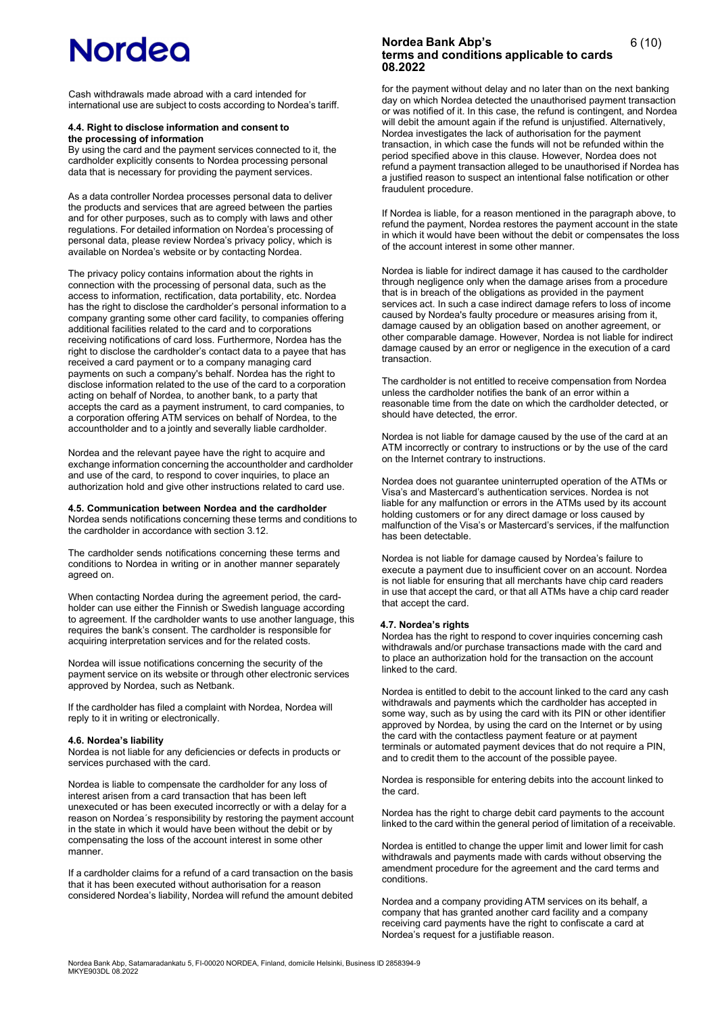Cash withdrawals made abroad with a card intended for international use are subject to costs according to Nordea's tariff.

#### **4.4. Right to disclose information and consent to the processing of information**

By using the card and the payment services connected to it, the cardholder explicitly consents to Nordea processing personal data that is necessary for providing the payment services.

As a data controller Nordea processes personal data to deliver the products and services that are agreed between the parties and for other purposes, such as to comply with laws and other regulations. For detailed information on Nordea's processing of personal data, please review Nordea's privacy policy, which is available on Nordea's website or by contacting Nordea.

The privacy policy contains information about the rights in connection with the processing of personal data, such as the access to information, rectification, data portability, etc. Nordea has the right to disclose the cardholder's personal information to a company granting some other card facility, to companies offering additional facilities related to the card and to corporations receiving notifications of card loss. Furthermore, Nordea has the right to disclose the cardholder's contact data to a payee that has received a card payment or to a company managing card payments on such a company's behalf. Nordea has the right to disclose information related to the use of the card to a corporation acting on behalf of Nordea, to another bank, to a party that accepts the card as a payment instrument, to card companies, to a corporation offering ATM services on behalf of Nordea, to the accountholder and to a jointly and severally liable cardholder.

Nordea and the relevant payee have the right to acquire and exchange information concerning the accountholder and cardholder and use of the card, to respond to cover inquiries, to place an authorization hold and give other instructions related to card use.

#### **4.5. Communication between Nordea and the cardholder**

Nordea sends notifications concerning these terms and conditions to the cardholder in accordance with section 3.12.

The cardholder sends notifications concerning these terms and conditions to Nordea in writing or in another manner separately agreed on.

When contacting Nordea during the agreement period, the cardholder can use either the Finnish or Swedish language according to agreement. If the cardholder wants to use another language, this requires the bank's consent. The cardholder is responsible for acquiring interpretation services and for the related costs.

Nordea will issue notifications concerning the security of the payment service on its website or through other electronic services approved by Nordea, such as Netbank.

If the cardholder has filed a complaint with Nordea, Nordea will reply to it in writing or electronically.

#### **4.6. Nordea's liability**

Nordea is not liable for any deficiencies or defects in products or services purchased with the card.

Nordea is liable to compensate the cardholder for any loss of interest arisen from a card transaction that has been left unexecuted or has been executed incorrectly or with a delay for a reason on Nordea´s responsibility by restoring the payment account in the state in which it would have been without the debit or by compensating the loss of the account interest in some other manner.

If a cardholder claims for a refund of a card transaction on the basis that it has been executed without authorisation for a reason considered Nordea's liability, Nordea will refund the amount debited

# **Nordea Bank Abp's terms and conditions applicable to cards 08.2022**

for the payment without delay and no later than on the next banking day on which Nordea detected the unauthorised payment transaction or was notified of it. In this case, the refund is contingent, and Nordea will debit the amount again if the refund is unjustified. Alternatively, Nordea investigates the lack of authorisation for the payment transaction, in which case the funds will not be refunded within the period specified above in this clause. However, Nordea does not refund a payment transaction alleged to be unauthorised if Nordea has a justified reason to suspect an intentional false notification or other fraudulent procedure.

If Nordea is liable, for a reason mentioned in the paragraph above, to refund the payment, Nordea restores the payment account in the state in which it would have been without the debit or compensates the loss of the account interest in some other manner.

Nordea is liable for indirect damage it has caused to the cardholder through negligence only when the damage arises from a procedure that is in breach of the obligations as provided in the payment services act. In such a case indirect damage refers to loss of income caused by Nordea's faulty procedure or measures arising from it, damage caused by an obligation based on another agreement, or other comparable damage. However, Nordea is not liable for indirect damage caused by an error or negligence in the execution of a card transaction.

The cardholder is not entitled to receive compensation from Nordea unless the cardholder notifies the bank of an error within a reasonable time from the date on which the cardholder detected, or should have detected, the error.

Nordea is not liable for damage caused by the use of the card at an ATM incorrectly or contrary to instructions or by the use of the card on the Internet contrary to instructions.

Nordea does not guarantee uninterrupted operation of the ATMs or Visa's and Mastercard's authentication services. Nordea is not liable for any malfunction or errors in the ATMs used by its account holding customers or for any direct damage or loss caused by malfunction of the Visa's or Mastercard's services, if the malfunction has been detectable.

Nordea is not liable for damage caused by Nordea's failure to execute a payment due to insufficient cover on an account. Nordea is not liable for ensuring that all merchants have chip card readers in use that accept the card, or that all ATMs have a chip card reader that accept the card.

#### **4.7. Nordea's rights**

Nordea has the right to respond to cover inquiries concerning cash withdrawals and/or purchase transactions made with the card and to place an authorization hold for the transaction on the account linked to the card.

Nordea is entitled to debit to the account linked to the card any cash withdrawals and payments which the cardholder has accepted in some way, such as by using the card with its PIN or other identifier approved by Nordea, by using the card on the Internet or by using the card with the contactless payment feature or at payment terminals or automated payment devices that do not require a PIN, and to credit them to the account of the possible payee.

Nordea is responsible for entering debits into the account linked to the card.

Nordea has the right to charge debit card payments to the account linked to the card within the general period of limitation of a receivable.

Nordea is entitled to change the upper limit and lower limit for cash withdrawals and payments made with cards without observing the amendment procedure for the agreement and the card terms and conditions.

Nordea and a company providing ATM services on its behalf, a company that has granted another card facility and a company receiving card payments have the right to confiscate a card at Nordea's request for a justifiable reason.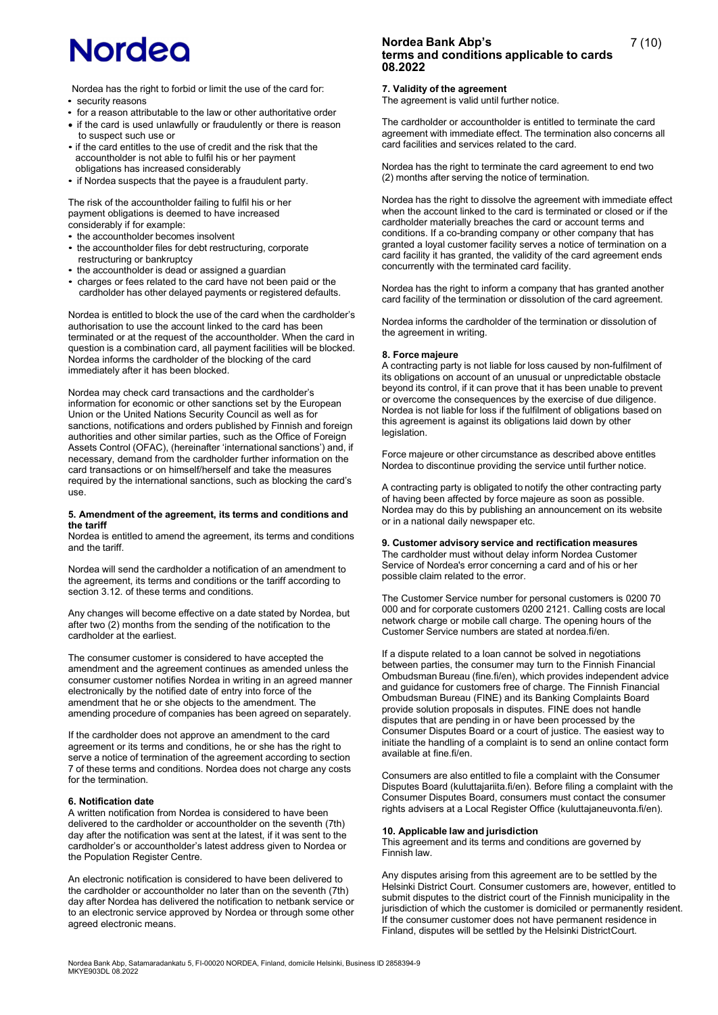Nordea has the right to forbid or limit the use of the card for: • security reasons

- for a reason attributable to the law or other authoritative order
- if the card is used unlawfully or fraudulently or there is reason to suspect such use or
- if the card entitles to the use of credit and the risk that the accountholder is not able to fulfil his or her payment obligations has increased considerably
- if Nordea suspects that the payee is a fraudulent party.

The risk of the accountholder failing to fulfil his or her payment obligations is deemed to have increased considerably if for example:

- the accountholder becomes insolvent
- the accountholder files for debt restructuring, corporate restructuring or bankruptcy
- the accountholder is dead or assigned a guardian
- charges or fees related to the card have not been paid or the cardholder has other delayed payments or registered defaults.

Nordea is entitled to block the use of the card when the cardholder's authorisation to use the account linked to the card has been terminated or at the request of the accountholder. When the card in question is a combination card, all payment facilities will be blocked. Nordea informs the cardholder of the blocking of the card immediately after it has been blocked.

Nordea may check card transactions and the cardholder's information for economic or other sanctions set by the European Union or the United Nations Security Council as well as for sanctions, notifications and orders published by Finnish and foreign authorities and other similar parties, such as the Office of Foreign Assets Control (OFAC), (hereinafter 'international sanctions') and, if necessary, demand from the cardholder further information on the card transactions or on himself/herself and take the measures required by the international sanctions, such as blocking the card's use.

#### **5. Amendment of the agreement, its terms and conditions and the tariff**

Nordea is entitled to amend the agreement, its terms and conditions and the tariff.

Nordea will send the cardholder a notification of an amendment to the agreement, its terms and conditions or the tariff according to section 3.12. of these terms and conditions.

Any changes will become effective on a date stated by Nordea, but after two (2) months from the sending of the notification to the cardholder at the earliest.

The consumer customer is considered to have accepted the amendment and the agreement continues as amended unless the consumer customer notifies Nordea in writing in an agreed manner electronically by the notified date of entry into force of the amendment that he or she objects to the amendment. The amending procedure of companies has been agreed on separately.

If the cardholder does not approve an amendment to the card agreement or its terms and conditions, he or she has the right to serve a notice of termination of the agreement according to section 7 of these terms and conditions. Nordea does not charge any costs for the termination.

#### **6. Notification date**

A written notification from Nordea is considered to have been delivered to the cardholder or accountholder on the seventh (7th) day after the notification was sent at the latest, if it was sent to the cardholder's or accountholder's latest address given to Nordea or the Population Register Centre.

An electronic notification is considered to have been delivered to the cardholder or accountholder no later than on the seventh (7th) day after Nordea has delivered the notification to netbank service or to an electronic service approved by Nordea or through some other agreed electronic means.

# **Nordea Bank Abp's terms and conditions applicable to cards 08.2022**

#### **7. Validity of the agreement**

The agreement is valid until further notice.

The cardholder or accountholder is entitled to terminate the card agreement with immediate effect. The termination also concerns all card facilities and services related to the card.

Nordea has the right to terminate the card agreement to end two (2) months after serving the notice of termination.

Nordea has the right to dissolve the agreement with immediate effect when the account linked to the card is terminated or closed or if the cardholder materially breaches the card or account terms and conditions. If a co-branding company or other company that has granted a loyal customer facility serves a notice of termination on a card facility it has granted, the validity of the card agreement ends concurrently with the terminated card facility.

Nordea has the right to inform a company that has granted another card facility of the termination or dissolution of the card agreement.

Nordea informs the cardholder of the termination or dissolution of the agreement in writing.

#### **8. Force majeure**

A contracting party is not liable for loss caused by non-fulfilment of its obligations on account of an unusual or unpredictable obstacle beyond its control, if it can prove that it has been unable to prevent or overcome the consequences by the exercise of due diligence. Nordea is not liable for loss if the fulfilment of obligations based on this agreement is against its obligations laid down by other legislation.

Force majeure or other circumstance as described above entitles Nordea to discontinue providing the service until further notice.

A contracting party is obligated to notify the other contracting party of having been affected by force majeure as soon as possible. Nordea may do this by publishing an announcement on its website or in a national daily newspaper etc.

#### **9. Customer advisory service and rectification measures**

The cardholder must without delay inform Nordea Customer Service of Nordea's error concerning a card and of his or her possible claim related to the error.

The Customer Service number for personal customers is 0200 70 000 and for corporate customers 0200 2121. Calling costs are local network charge or mobile call charge. The opening hours of the Customer Service numbers are stated at nordea.fi/en.

If a dispute related to a loan cannot be solved in negotiations between parties, the consumer may turn to the Finnish Financial Ombudsman Bureau (fine.fi/en), which provides independent advice and guidance for customers free of charge. The Finnish Financial Ombudsman Bureau (FINE) and its Banking Complaints Board provide solution proposals in disputes. FINE does not handle disputes that are pending in or have been processed by the Consumer Disputes Board or a court of justice. The easiest way to initiate the handling of a complaint is to send an online contact form available at fine.fi/en.

Consumers are also entitled to file a complaint with the Consumer Disputes Board (kuluttajariita.fi/en). Before filing a complaint with the Consumer Disputes Board, consumers must contact the consumer rights advisers at a Local Register Office (kuluttajaneuvonta.fi/en).

#### **10. Applicable law and jurisdiction**

This agreement and its terms and conditions are governed by Finnish law.

Any disputes arising from this agreement are to be settled by the Helsinki District Court. Consumer customers are, however, entitled to submit disputes to the district court of the Finnish municipality in the jurisdiction of which the customer is domiciled or permanently resident. If the consumer customer does not have permanent residence in Finland, disputes will be settled by the Helsinki DistrictCourt.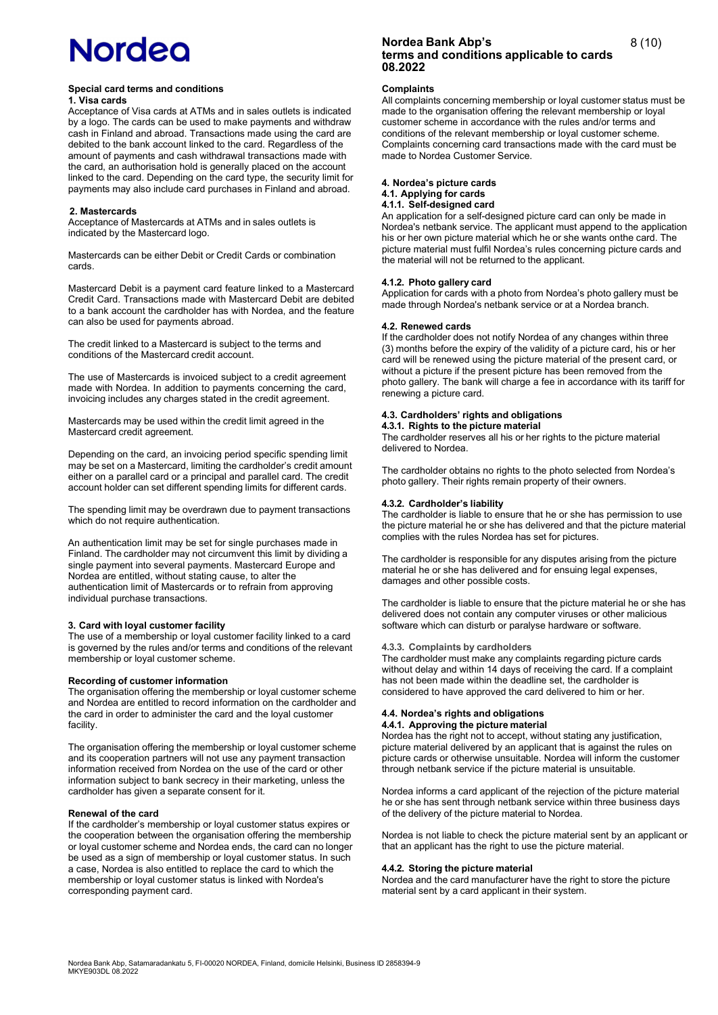#### **Special card terms and conditions 1. Visa cards**

Acceptance of Visa cards at ATMs and in sales outlets is indicated by a logo. The cards can be used to make payments and withdraw cash in Finland and abroad. Transactions made using the card are debited to the bank account linked to the card. Regardless of the amount of payments and cash withdrawal transactions made with the card, an authorisation hold is generally placed on the account linked to the card. Depending on the card type, the security limit for payments may also include card purchases in Finland and abroad.

#### **2. Mastercards**

Acceptance of Mastercards at ATMs and in sales outlets is indicated by the Mastercard logo.

Mastercards can be either Debit or Credit Cards or combination cards.

Mastercard Debit is a payment card feature linked to a Mastercard Credit Card. Transactions made with Mastercard Debit are debited to a bank account the cardholder has with Nordea, and the feature can also be used for payments abroad.

The credit linked to a Mastercard is subject to the terms and conditions of the Mastercard credit account.

The use of Mastercards is invoiced subject to a credit agreement made with Nordea. In addition to payments concerning the card, invoicing includes any charges stated in the credit agreement.

Mastercards may be used within the credit limit agreed in the Mastercard credit agreement.

Depending on the card, an invoicing period specific spending limit may be set on a Mastercard, limiting the cardholder's credit amount either on a parallel card or a principal and parallel card. The credit account holder can set different spending limits for different cards.

The spending limit may be overdrawn due to payment transactions which do not require authentication.

An authentication limit may be set for single purchases made in Finland. The cardholder may not circumvent this limit by dividing a single payment into several payments. Mastercard Europe and Nordea are entitled, without stating cause, to alter the authentication limit of Mastercards or to refrain from approving individual purchase transactions.

#### **3. Card with loyal customer facility**

The use of a membership or loyal customer facility linked to a card is governed by the rules and/or terms and conditions of the relevant membership or loyal customer scheme.

#### **Recording of customer information**

The organisation offering the membership or loyal customer scheme and Nordea are entitled to record information on the cardholder and the card in order to administer the card and the loyal customer facility.

The organisation offering the membership or loyal customer scheme and its cooperation partners will not use any payment transaction information received from Nordea on the use of the card or other information subject to bank secrecy in their marketing, unless the cardholder has given a separate consent for it.

#### **Renewal of the card**

If the cardholder's membership or loyal customer status expires or the cooperation between the organisation offering the membership or loyal customer scheme and Nordea ends, the card can no longer be used as a sign of membership or loyal customer status. In such a case, Nordea is also entitled to replace the card to which the membership or loyal customer status is linked with Nordea's corresponding payment card.

# **Nordea Bank Abp's terms and conditions applicable to cards 08.2022**

### **Complaints**

All complaints concerning membership or loyal customer status must be made to the organisation offering the relevant membership or loyal customer scheme in accordance with the rules and/or terms and conditions of the relevant membership or loyal customer scheme. Complaints concerning card transactions made with the card must be made to Nordea Customer Service.

#### **4. Nordea's picture cards 4.1. Applying for cards**

# **4.1.1. Self-designed card**

An application for a self-designed picture card can only be made in Nordea's netbank service. The applicant must append to the application his or her own picture material which he or she wants onthe card. The picture material must fulfil Nordea's rules concerning picture cards and the material will not be returned to the applicant.

### **4.1.2. Photo gallery card**

Application for cards with a photo from Nordea's photo gallery must be made through Nordea's netbank service or at a Nordea branch.

#### **4.2. Renewed cards**

If the cardholder does not notify Nordea of any changes within three (3) months before the expiry of the validity of a picture card, his or her card will be renewed using the picture material of the present card, or without a picture if the present picture has been removed from the photo gallery. The bank will charge a fee in accordance with its tariff for renewing a picture card.

## **4.3. Cardholders' rights and obligations**

# **4.3.1. Rights to the picture material**

The cardholder reserves all his or her rights to the picture material delivered to Nordea.

The cardholder obtains no rights to the photo selected from Nordea's photo gallery. Their rights remain property of their owners.

#### **4.3.2. Cardholder's liability**

The cardholder is liable to ensure that he or she has permission to use the picture material he or she has delivered and that the picture material complies with the rules Nordea has set for pictures.

The cardholder is responsible for any disputes arising from the picture material he or she has delivered and for ensuing legal expenses, damages and other possible costs.

The cardholder is liable to ensure that the picture material he or she has delivered does not contain any computer viruses or other malicious software which can disturb or paralyse hardware or software.

#### **4.3.3. Complaints by cardholders**

The cardholder must make any complaints regarding picture cards without delay and within 14 days of receiving the card. If a complaint has not been made within the deadline set, the cardholder is considered to have approved the card delivered to him or her.

#### **4.4. Nordea's rights and obligations 4.4.1. Approving the picture material**

Nordea has the right not to accept, without stating any justification, picture material delivered by an applicant that is against the rules on picture cards or otherwise unsuitable. Nordea will inform the customer through netbank service if the picture material is unsuitable.

Nordea informs a card applicant of the rejection of the picture material he or she has sent through netbank service within three business days of the delivery of the picture material to Nordea.

Nordea is not liable to check the picture material sent by an applicant or that an applicant has the right to use the picture material.

#### **4.4.2. Storing the picture material**

Nordea and the card manufacturer have the right to store the picture material sent by a card applicant in their system.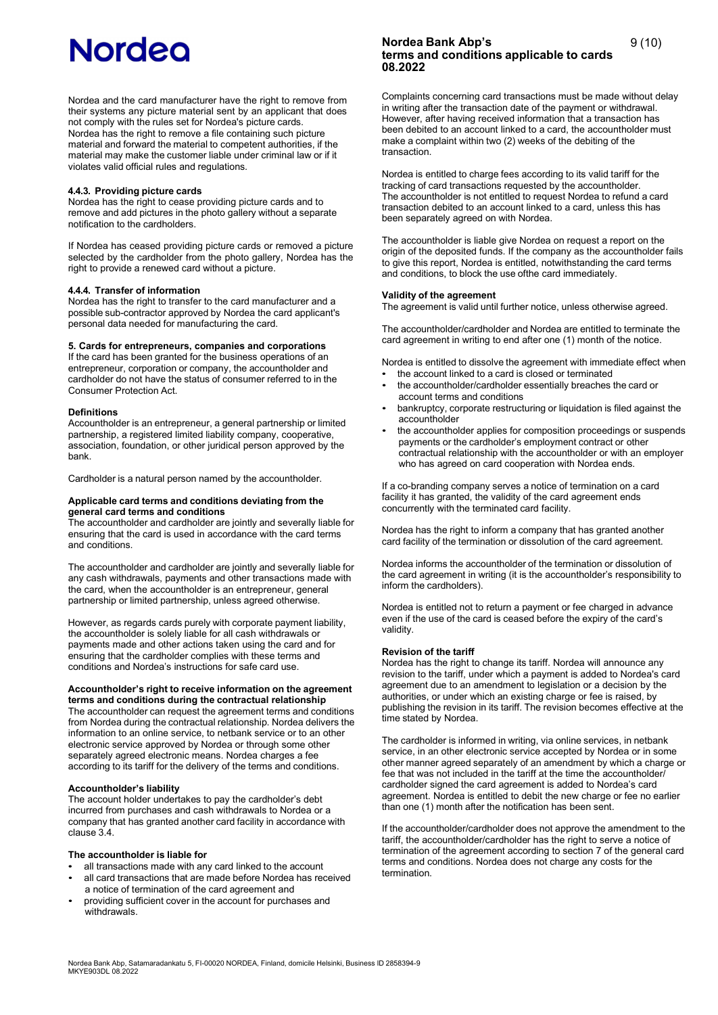Nordea and the card manufacturer have the right to remove from their systems any picture material sent by an applicant that does not comply with the rules set for Nordea's picture cards. Nordea has the right to remove a file containing such picture material and forward the material to competent authorities, if the material may make the customer liable under criminal law or if it violates valid official rules and regulations.

#### **4.4.3. Providing picture cards**

Nordea has the right to cease providing picture cards and to remove and add pictures in the photo gallery without a separate notification to the cardholders.

If Nordea has ceased providing picture cards or removed a picture selected by the cardholder from the photo gallery, Nordea has the right to provide a renewed card without a picture.

#### **4.4.4. Transfer of information**

Nordea has the right to transfer to the card manufacturer and a possible sub-contractor approved by Nordea the card applicant's personal data needed for manufacturing the card.

## **5. Cards for entrepreneurs, companies and corporations**

If the card has been granted for the business operations of an entrepreneur, corporation or company, the accountholder and cardholder do not have the status of consumer referred to in the Consumer Protection Act.

#### **Definitions**

Accountholder is an entrepreneur, a general partnership or limited partnership, a registered limited liability company, cooperative, association, foundation, or other juridical person approved by the bank.

Cardholder is a natural person named by the accountholder.

#### **Applicable card terms and conditions deviating from the general card terms and conditions**

The accountholder and cardholder are jointly and severally liable for ensuring that the card is used in accordance with the card terms and conditions.

The accountholder and cardholder are jointly and severally liable for any cash withdrawals, payments and other transactions made with the card, when the accountholder is an entrepreneur, general partnership or limited partnership, unless agreed otherwise.

However, as regards cards purely with corporate payment liability, the accountholder is solely liable for all cash withdrawals or payments made and other actions taken using the card and for ensuring that the cardholder complies with these terms and conditions and Nordea's instructions for safe card use.

#### **Accountholder's right to receive information on the agreement terms and conditions during the contractual relationship**

The accountholder can request the agreement terms and conditions from Nordea during the contractual relationship. Nordea delivers the information to an online service, to netbank service or to an other electronic service approved by Nordea or through some other separately agreed electronic means. Nordea charges a fee according to its tariff for the delivery of the terms and conditions.

#### **Accountholder's liability**

The account holder undertakes to pay the cardholder's debt incurred from purchases and cash withdrawals to Nordea or a company that has granted another card facility in accordance with clause 3.4.

#### **The accountholder is liable for**

- all transactions made with any card linked to the account • all card transactions that are made before Nordea has received
- a notice of termination of the card agreement and
- providing sufficient cover in the account for purchases and withdrawals.

# **Nordea Bank Abp's terms and conditions applicable to cards 08.2022**

Complaints concerning card transactions must be made without delay in writing after the transaction date of the payment or withdrawal. However, after having received information that a transaction has been debited to an account linked to a card, the accountholder must make a complaint within two (2) weeks of the debiting of the transaction.

Nordea is entitled to charge fees according to its valid tariff for the tracking of card transactions requested by the accountholder. The accountholder is not entitled to request Nordea to refund a card transaction debited to an account linked to a card, unless this has been separately agreed on with Nordea.

The accountholder is liable give Nordea on request a report on the origin of the deposited funds. If the company as the accountholder fails to give this report, Nordea is entitled, notwithstanding the card terms and conditions, to block the use ofthe card immediately.

#### **Validity of the agreement**

The agreement is valid until further notice, unless otherwise agreed.

The accountholder/cardholder and Nordea are entitled to terminate the card agreement in writing to end after one (1) month of the notice.

Nordea is entitled to dissolve the agreement with immediate effect when the account linked to a card is closed or terminated

- the accountholder/cardholder essentially breaches the card or account terms and conditions
- bankruptcy, corporate restructuring or liquidation is filed against the accountholder
- the accountholder applies for composition proceedings or suspends payments or the cardholder's employment contract or other contractual relationship with the accountholder or with an employer who has agreed on card cooperation with Nordea ends.

If a co-branding company serves a notice of termination on a card facility it has granted, the validity of the card agreement ends concurrently with the terminated card facility.

Nordea has the right to inform a company that has granted another card facility of the termination or dissolution of the card agreement.

Nordea informs the accountholder of the termination or dissolution of the card agreement in writing (it is the accountholder's responsibility to inform the cardholders).

Nordea is entitled not to return a payment or fee charged in advance even if the use of the card is ceased before the expiry of the card's validity.

#### **Revision of the tariff**

Nordea has the right to change its tariff. Nordea will announce any revision to the tariff, under which a payment is added to Nordea's card agreement due to an amendment to legislation or a decision by the authorities, or under which an existing charge or fee is raised, by publishing the revision in its tariff. The revision becomes effective at the time stated by Nordea.

The cardholder is informed in writing, via online services, in netbank service, in an other electronic service accepted by Nordea or in some other manner agreed separately of an amendment by which a charge or fee that was not included in the tariff at the time the accountholder/ cardholder signed the card agreement is added to Nordea's card agreement. Nordea is entitled to debit the new charge or fee no earlier than one (1) month after the notification has been sent.

If the accountholder/cardholder does not approve the amendment to the tariff, the accountholder/cardholder has the right to serve a notice of termination of the agreement according to section 7 of the general card terms and conditions. Nordea does not charge any costs for the termination.